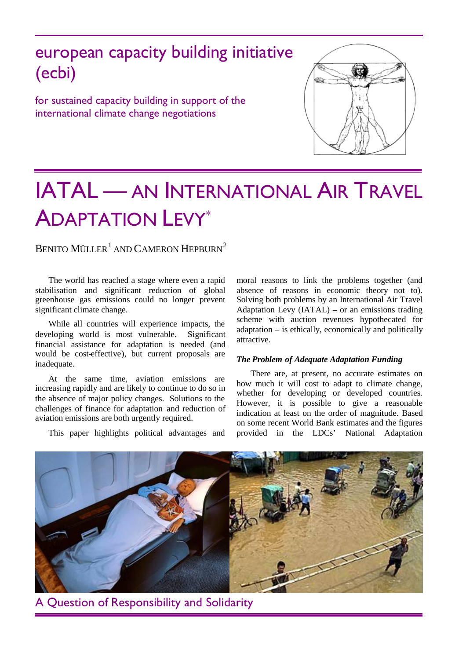# european capacity building initiative (ecbi)

for sustained capacity building in support of the international climate change negotiations



# IATAL — AN INTERNATIONAL AIR TRAVEL ADAPTATION LEVY[\\*](#page-3-0)

BENITO MÜLLER $^{\rm l}$  and Cameron Hepburn $^{\rm 2}$  $^{\rm 2}$  $^{\rm 2}$ 

The world has reached a stage where even a rapid stabilisation and significant reduction of global greenhouse gas emissions could no longer prevent significant climate change.

While all countries will experience impacts, the developing world is most vulnerable. Significant financial assistance for adaptation is needed (and would be cost-effective), but current proposals are inadequate.

At the same time, aviation emissions are increasing rapidly and are likely to continue to do so in the absence of major policy changes. Solutions to the challenges of finance for adaptation and reduction of aviation emissions are both urgently required.

This paper highlights political advantages and

moral reasons to link the problems together (and absence of reasons in economic theory not to). Solving both problems by an International Air Travel Adaptation Levy (IATAL) – or an emissions trading scheme with auction revenues hypothecated for adaptation – is ethically, economically and politically attractive.

## *The Problem of Adequate Adaptation Funding*

There are, at present, no accurate estimates on how much it will cost to adapt to climate change, whether for developing or developed countries. However, it is possible to give a reasonable indication at least on the order of magnitude. Based on some recent World Bank estimates and the figures provided in the LDCs' National Adaptation



A Question of Responsibility and Solidarity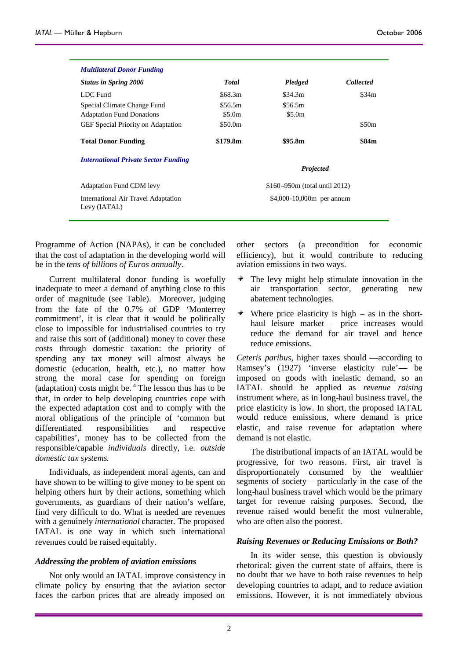| <b>Multilateral Donor Funding</b>                   |                               |                  |                  |
|-----------------------------------------------------|-------------------------------|------------------|------------------|
| <b>Status in Spring 2006</b>                        | <b>Total</b>                  | <b>Pledged</b>   | <b>Collected</b> |
| LDC Fund                                            | \$68.3m                       | \$34.3m          | \$34m            |
| Special Climate Change Fund                         | \$56.5m                       | \$56.5m          |                  |
| <b>Adaptation Fund Donations</b>                    | \$5.0m                        | \$5.0m           |                  |
| <b>GEF</b> Special Priority on Adaptation           | \$50.0m                       |                  | \$50m            |
| <b>Total Donor Funding</b>                          | \$179.8m                      | \$95.8m          | \$84m            |
| <b>International Private Sector Funding</b>         |                               |                  |                  |
|                                                     |                               | <b>Projected</b> |                  |
| <b>Adaptation Fund CDM levy</b>                     | \$160–950m (total until 2012) |                  |                  |
| International Air Travel Adaptation<br>Levy (IATAL) | \$4,000-10,000m per annum     |                  |                  |
|                                                     |                               |                  |                  |

Programme of Action (NAPAs), it can be concluded that the cost of adaptation in the developing world will be in the *tens of billions of Euros annually*.

Current multilateral donor funding is woefully inadequate to meet a demand of anything close to this order of magnitude (see Table). Moreover, judging from the fate of the 0.7% of GDP 'Monterrey commitment', it is clear that it would be politically close to impossible for industrialised countries to try and raise this sort of (additional) money to cover these costs through domestic taxation: the priority of spending any tax money will almost always be domestic (education, health, etc.), no matter how strong the moral case for spending on foreign (adaptation)costs might be.  $4$  The lesson thus has to be that, in order to help developing countries cope with the expected adaptation cost and to comply with the moral obligations of the principle of 'common but differentiated responsibilities and respective capabilities', money has to be collected from the responsible/capable *individuals* directly, i.e. *outside domestic tax systems*.

Individuals, as independent moral agents, can and have shown to be willing to give money to be spent on helping others hurt by their actions, something which governments, as guardians of their nation's welfare, find very difficult to do. What is needed are revenues with a genuinely *international* character. The proposed IATAL is one way in which such international revenues could be raised equitably.

#### *Addressing the problem of aviation emissions*

Not only would an IATAL improve consistency in climate policy by ensuring that the aviation sector faces the carbon prices that are already imposed on

other sectors (a precondition for economic efficiency), but it would contribute to reducing aviation emissions in two ways.

- The levy might help stimulate innovation in the ÷ air transportation sector, generating new abatement technologies.
- $\frac{1}{2}$  . Where price elasticity is high – as in the shorthaul leisure market – price increases would reduce the demand for air travel and hence reduce emissions.

*Ceteris paribus,* higher taxes should —according to Ramsey's (1927) 'inverse elasticity rule'— be imposed on goods with inelastic demand, so an IATAL should be applied as *revenue raising* instrument where, as in long-haul business travel, the price elasticity is low. In short, the proposed IATAL would reduce emissions, where demand is price elastic, and raise revenue for adaptation where demand is not elastic.

The distributional impacts of an IATAL would be progressive, for two reasons. First, air travel is disproportionately consumed by the wealthier segments of society – particularly in the case of the long-haul business travel which would be the primary target for revenue raising purposes. Second, the revenue raised would benefit the most vulnerable, who are often also the poorest.

#### *Raising Revenues or Reducing Emissions or Both?*

In its wider sense, this question is obviously rhetorical: given the current state of affairs, there is no doubt that we have to both raise revenues to help developing countries to adapt, and to reduce aviation emissions. However, it is not immediately obvious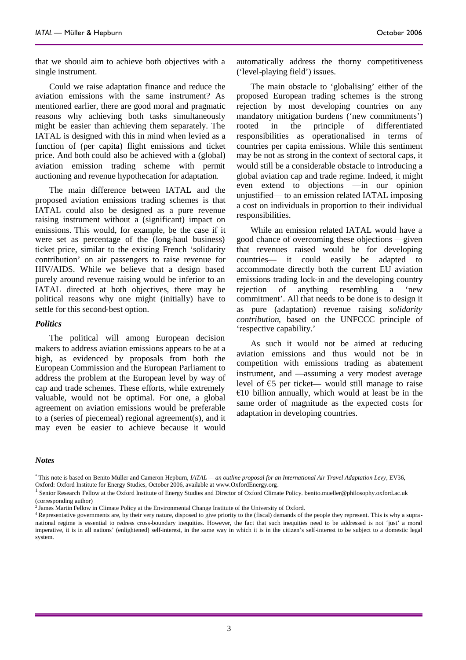that we should aim to achieve both objectives with a single instrument.

Could we raise adaptation finance and reduce the aviation emissions with the same instrument? As mentioned earlier, there are good moral and pragmatic reasons why achieving both tasks simultaneously might be easier than achieving them separately. The IATAL is designed with this in mind when levied as a function of (per capita) flight emissions and ticket price. And both could also be achieved with a (global) aviation emission trading scheme with permit auctioning and revenue hypothecation for adaptation.

The main difference between IATAL and the proposed aviation emissions trading schemes is that IATAL could also be designed as a pure revenue raising instrument without a (significant) impact on emissions. This would, for example, be the case if it were set as percentage of the (long-haul business) ticket price, similar to the existing French 'solidarity contribution' on air passengers to raise revenue for HIV/AIDS. While we believe that a design based purely around revenue raising would be inferior to an IATAL directed at both objectives, there may be rejection political reasons why one might (initially) have to settle for this second-best option.

#### *Politics*

The political will among European decision makers to address aviation emissions appears to be at a high, as evidenced by proposals from both the European Commission and the European Parliament to address the problem at the European level by way of cap and trade schemes. These efforts, while extremely valuable, would not be optimal. For one, a global agreement on aviation emissions would be preferable to a (series of piecemeal) regional agreement(s), and it may even be easier to achieve because it would automatically address the thorny competitiveness ('level-playing field') issues.

The main obstacle to 'globalising' either of the proposed European trading schemes is the strong rejection by most developing countries on any mandatory mitigation burdens ('new commitments') rooted in the principle of differentiated responsibilities as operationalised in terms of countries per capita emissions. While this sentiment may be not as strong in the context of sectoral caps, it would still be a considerable obstacle to introducing a global aviation cap and trade regime. Indeed, it might even extend to objections —in our opinion unjustified— to an emission related IATAL imposing a cost on individuals in proportion to their individual responsibilities.

While an emission related IATAL would have a good chance of overcoming these objections —given that revenues raised would be for developing countries— it could easily be adapted to accommodate directly both the current EU aviation emissions trading lock-in and the developing country of anything resembling a 'new commitment'. All that needs to be done is to design it as pure (adaptation) revenue raising *solidarity contribution*, based on the UNFCCC principle of 'respective capability.'

As such it would not be aimed at reducing aviation emissions and thus would not be in competition with emissions trading as abatement instrument, and —assuming a very modest average level of  $E$ 5 per ticket— would still manage to raise  $\epsilon$ 10 billion annually, which would at least be in the same order of magnitude as the expected costs for adaptation in developing countries.

## *Notes*

<sup>\*</sup> This note is based on Benito Müller and Cameron Hepburn, *IATAL — an outline proposal for an International Air Travel Adaptation Levy*, EV36, Oxford: Oxford Institute for Energy Studies, October 2006, available at www.OxfordEnergy.org.

<sup>&</sup>lt;sup>1</sup> Senior Research Fellow at the Oxford Institute of Energy Studies and Director of Oxford Climate Policy. benito.mueller@philosophy.oxford.ac.uk (corresponding author)

<sup>&</sup>lt;sup>2</sup> James Martin Fellow in Climate Policy at the Environmental Change Institute of the University of Oxford.

<sup>4</sup> Representative governments are, by their very nature, disposed to give priority to the (fiscal) demands of the people they represent. This is why a supranational regime is essential to redress cross-boundary inequities. However, the fact that such inequities need to be addressed is not 'just' a moral imperative, it is in all nations' (enlightened) self-interest, in the same way in which it is in the citizen's self-interest to be subject to a domestic legal system.